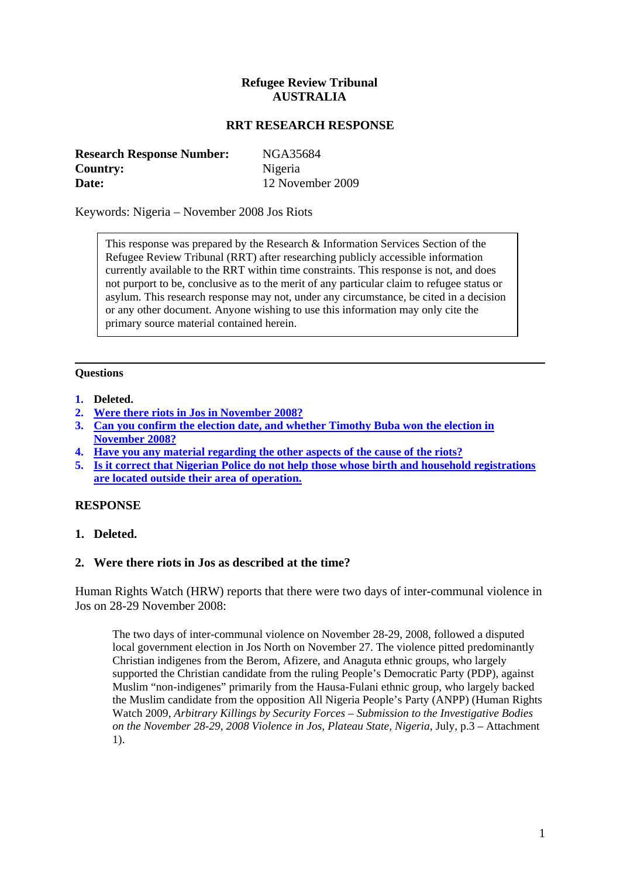# **Refugee Review Tribunal AUSTRALIA**

## **RRT RESEARCH RESPONSE**

<span id="page-0-0"></span>

| <b>Research Response Number:</b> | NGA35684         |
|----------------------------------|------------------|
| <b>Country:</b>                  | Nigeria          |
| Date:                            | 12 November 2009 |

Keywords: Nigeria – November 2008 Jos Riots

This response was prepared by the Research & Information Services Section of the Refugee Review Tribunal (RRT) after researching publicly accessible information currently available to the RRT within time constraints. This response is not, and does not purport to be, conclusive as to the merit of any particular claim to refugee status or asylum. This research response may not, under any circumstance, be cited in a decision or any other document. Anyone wishing to use this information may only cite the primary source material contained herein.

## **Questions**

- **1. Deleted.**
- **2. [Were there riots in Jos in November 2008?](#page-0-0)**
- **3. [Can you confirm the election date, and whether Timothy Buba won the election in](#page-3-0)  [November 2008?](#page-3-0)**
- **4. [Have you any material regarding the other aspects of the cause of the riots?](#page-3-0)**
- **5. Is it correct that Nigerian Police do not help those whose birth and household registrations are located outside their area of operation.**

#### **RESPONSE**

**1. Deleted.**

#### **2. Were there riots in Jos as described at the time?**

Human Rights Watch (HRW) reports that there were two days of inter-communal violence in Jos on 28-29 November 2008:

The two days of inter-communal violence on November 28-29, 2008, followed a disputed local government election in Jos North on November 27. The violence pitted predominantly Christian indigenes from the Berom, Afizere, and Anaguta ethnic groups, who largely supported the Christian candidate from the ruling People's Democratic Party (PDP), against Muslim "non-indigenes" primarily from the Hausa-Fulani ethnic group, who largely backed the Muslim candidate from the opposition All Nigeria People's Party (ANPP) (Human Rights Watch 2009, *Arbitrary Killings by Security Forces – Submission to the Investigative Bodies on the November 28-29, 2008 Violence in Jos, Plateau State, Nigeria*, July, p.3 – Attachment 1).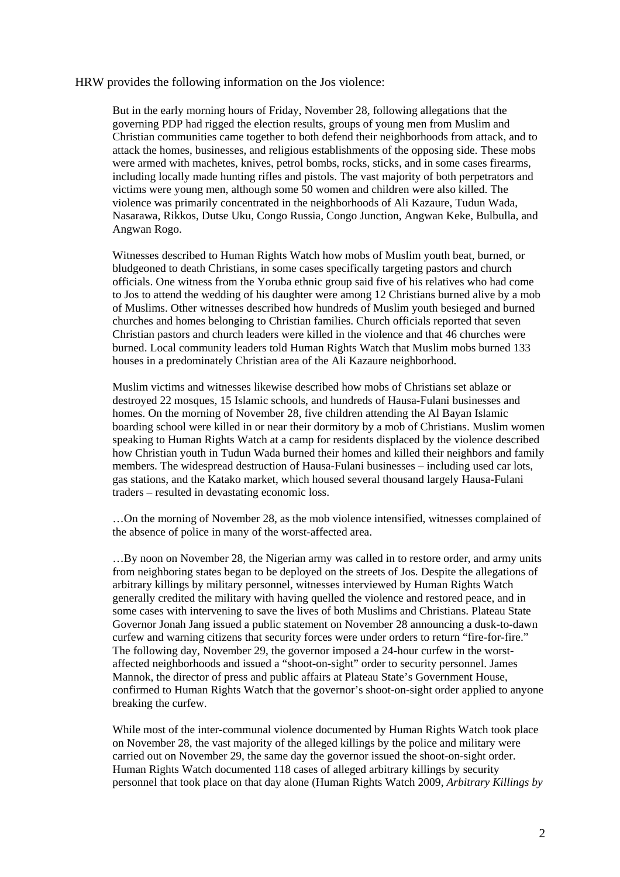#### HRW provides the following information on the Jos violence:

But in the early morning hours of Friday, November 28, following allegations that the governing PDP had rigged the election results, groups of young men from Muslim and Christian communities came together to both defend their neighborhoods from attack, and to attack the homes, businesses, and religious establishments of the opposing side. These mobs were armed with machetes, knives, petrol bombs, rocks, sticks, and in some cases firearms, including locally made hunting rifles and pistols. The vast majority of both perpetrators and victims were young men, although some 50 women and children were also killed. The violence was primarily concentrated in the neighborhoods of Ali Kazaure, Tudun Wada, Nasarawa, Rikkos, Dutse Uku, Congo Russia, Congo Junction, Angwan Keke, Bulbulla, and Angwan Rogo.

Witnesses described to Human Rights Watch how mobs of Muslim youth beat, burned, or bludgeoned to death Christians, in some cases specifically targeting pastors and church officials. One witness from the Yoruba ethnic group said five of his relatives who had come to Jos to attend the wedding of his daughter were among 12 Christians burned alive by a mob of Muslims. Other witnesses described how hundreds of Muslim youth besieged and burned churches and homes belonging to Christian families. Church officials reported that seven Christian pastors and church leaders were killed in the violence and that 46 churches were burned. Local community leaders told Human Rights Watch that Muslim mobs burned 133 houses in a predominately Christian area of the Ali Kazaure neighborhood.

Muslim victims and witnesses likewise described how mobs of Christians set ablaze or destroyed 22 mosques, 15 Islamic schools, and hundreds of Hausa-Fulani businesses and homes. On the morning of November 28, five children attending the Al Bayan Islamic boarding school were killed in or near their dormitory by a mob of Christians. Muslim women speaking to Human Rights Watch at a camp for residents displaced by the violence described how Christian youth in Tudun Wada burned their homes and killed their neighbors and family members. The widespread destruction of Hausa-Fulani businesses – including used car lots, gas stations, and the Katako market, which housed several thousand largely Hausa-Fulani traders – resulted in devastating economic loss.

…On the morning of November 28, as the mob violence intensified, witnesses complained of the absence of police in many of the worst-affected area.

…By noon on November 28, the Nigerian army was called in to restore order, and army units from neighboring states began to be deployed on the streets of Jos. Despite the allegations of arbitrary killings by military personnel, witnesses interviewed by Human Rights Watch generally credited the military with having quelled the violence and restored peace, and in some cases with intervening to save the lives of both Muslims and Christians. Plateau State Governor Jonah Jang issued a public statement on November 28 announcing a dusk-to-dawn curfew and warning citizens that security forces were under orders to return "fire-for-fire." The following day, November 29, the governor imposed a 24-hour curfew in the worstaffected neighborhoods and issued a "shoot-on-sight" order to security personnel. James Mannok, the director of press and public affairs at Plateau State's Government House, confirmed to Human Rights Watch that the governor's shoot-on-sight order applied to anyone breaking the curfew.

While most of the inter-communal violence documented by Human Rights Watch took place on November 28, the vast majority of the alleged killings by the police and military were carried out on November 29, the same day the governor issued the shoot-on-sight order. Human Rights Watch documented 118 cases of alleged arbitrary killings by security personnel that took place on that day alone (Human Rights Watch 2009, *Arbitrary Killings by*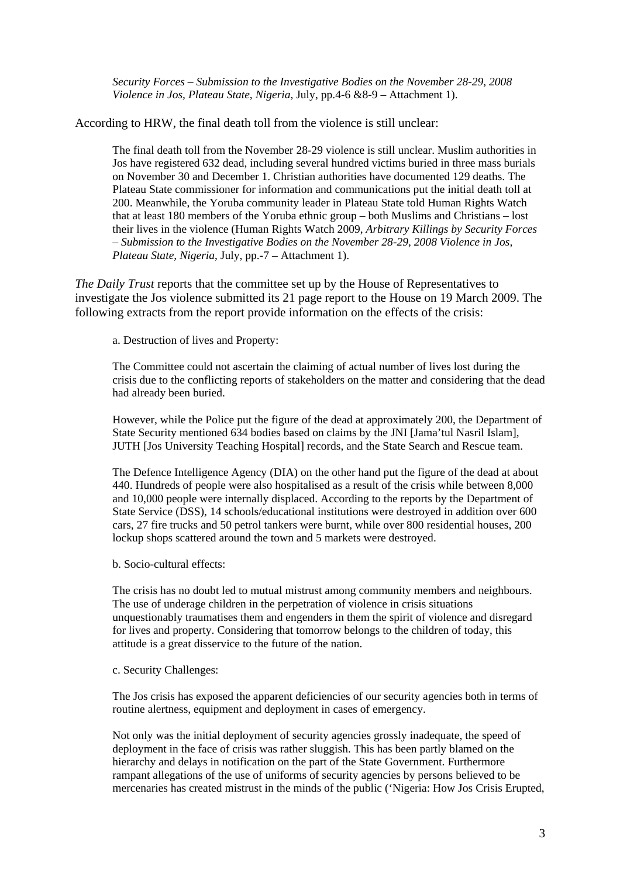*Security Forces – Submission to the Investigative Bodies on the November 28-29, 2008 Violence in Jos, Plateau State, Nigeria*, July, pp.4-6 &8-9 – Attachment 1).

According to HRW, the final death toll from the violence is still unclear:

The final death toll from the November 28-29 violence is still unclear. Muslim authorities in Jos have registered 632 dead, including several hundred victims buried in three mass burials on November 30 and December 1. Christian authorities have documented 129 deaths. The Plateau State commissioner for information and communications put the initial death toll at 200. Meanwhile, the Yoruba community leader in Plateau State told Human Rights Watch that at least 180 members of the Yoruba ethnic group – both Muslims and Christians – lost their lives in the violence (Human Rights Watch 2009, *Arbitrary Killings by Security Forces – Submission to the Investigative Bodies on the November 28-29, 2008 Violence in Jos, Plateau State, Nigeria*, July, pp.-7 – Attachment 1).

*The Daily Trust* reports that the committee set up by the House of Representatives to investigate the Jos violence submitted its 21 page report to the House on 19 March 2009. The following extracts from the report provide information on the effects of the crisis:

a. Destruction of lives and Property:

The Committee could not ascertain the claiming of actual number of lives lost during the crisis due to the conflicting reports of stakeholders on the matter and considering that the dead had already been buried.

However, while the Police put the figure of the dead at approximately 200, the Department of State Security mentioned 634 bodies based on claims by the JNI [Jama'tul Nasril Islam], JUTH [Jos University Teaching Hospital] records, and the State Search and Rescue team.

The Defence Intelligence Agency (DIA) on the other hand put the figure of the dead at about 440. Hundreds of people were also hospitalised as a result of the crisis while between 8,000 and 10,000 people were internally displaced. According to the reports by the Department of State Service (DSS), 14 schools/educational institutions were destroyed in addition over 600 cars, 27 fire trucks and 50 petrol tankers were burnt, while over 800 residential houses, 200 lockup shops scattered around the town and 5 markets were destroyed.

b. Socio-cultural effects:

The crisis has no doubt led to mutual mistrust among community members and neighbours. The use of underage children in the perpetration of violence in crisis situations unquestionably traumatises them and engenders in them the spirit of violence and disregard for lives and property. Considering that tomorrow belongs to the children of today, this attitude is a great disservice to the future of the nation.

c. Security Challenges:

The Jos crisis has exposed the apparent deficiencies of our security agencies both in terms of routine alertness, equipment and deployment in cases of emergency.

Not only was the initial deployment of security agencies grossly inadequate, the speed of deployment in the face of crisis was rather sluggish. This has been partly blamed on the hierarchy and delays in notification on the part of the State Government. Furthermore rampant allegations of the use of uniforms of security agencies by persons believed to be mercenaries has created mistrust in the minds of the public ('Nigeria: How Jos Crisis Erupted,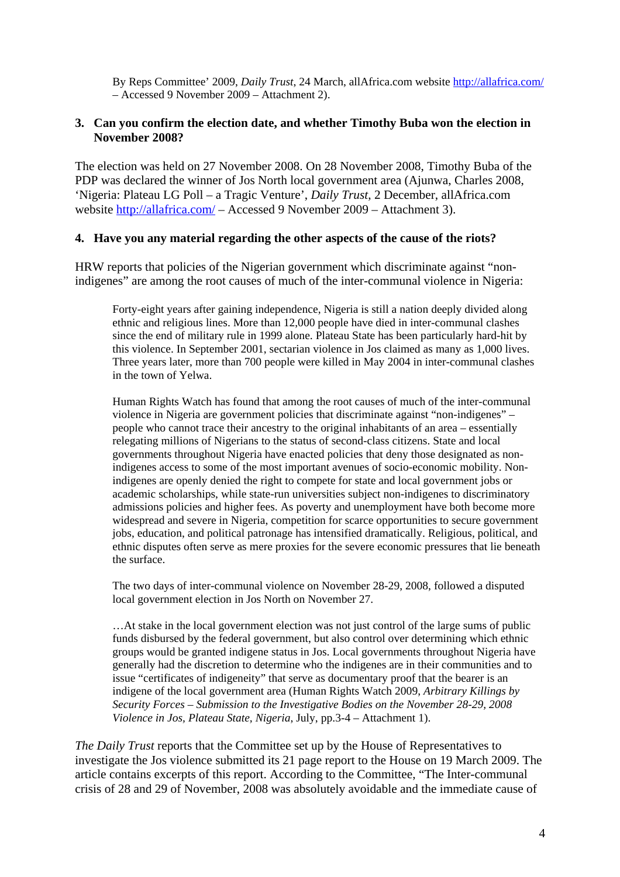<span id="page-3-0"></span>By Reps Committee' 2009, *Daily Trust*, 24 March, allAfrica.com website <http://allafrica.com/> – Accessed 9 November 2009 – Attachment 2).

## **3. Can you confirm the election date, and whether Timothy Buba won the election in November 2008?**

The election was held on 27 November 2008. On 28 November 2008, Timothy Buba of the PDP was declared the winner of Jos North local government area (Ajunwa, Charles 2008, 'Nigeria: Plateau LG Poll – a Tragic Venture', *Daily Trust*, 2 December, allAfrica.com website <http://allafrica.com/>– Accessed 9 November 2009 – Attachment 3).

## **4. Have you any material regarding the other aspects of the cause of the riots?**

HRW reports that policies of the Nigerian government which discriminate against "nonindigenes" are among the root causes of much of the inter-communal violence in Nigeria:

Forty-eight years after gaining independence, Nigeria is still a nation deeply divided along ethnic and religious lines. More than 12,000 people have died in inter-communal clashes since the end of military rule in 1999 alone. Plateau State has been particularly hard-hit by this violence. In September 2001, sectarian violence in Jos claimed as many as 1,000 lives. Three years later, more than 700 people were killed in May 2004 in inter-communal clashes in the town of Yelwa.

Human Rights Watch has found that among the root causes of much of the inter-communal violence in Nigeria are government policies that discriminate against "non-indigenes" – people who cannot trace their ancestry to the original inhabitants of an area – essentially relegating millions of Nigerians to the status of second-class citizens. State and local governments throughout Nigeria have enacted policies that deny those designated as nonindigenes access to some of the most important avenues of socio-economic mobility. Nonindigenes are openly denied the right to compete for state and local government jobs or academic scholarships, while state-run universities subject non-indigenes to discriminatory admissions policies and higher fees. As poverty and unemployment have both become more widespread and severe in Nigeria, competition for scarce opportunities to secure government jobs, education, and political patronage has intensified dramatically. Religious, political, and ethnic disputes often serve as mere proxies for the severe economic pressures that lie beneath the surface.

The two days of inter-communal violence on November 28-29, 2008, followed a disputed local government election in Jos North on November 27.

…At stake in the local government election was not just control of the large sums of public funds disbursed by the federal government, but also control over determining which ethnic groups would be granted indigene status in Jos. Local governments throughout Nigeria have generally had the discretion to determine who the indigenes are in their communities and to issue "certificates of indigeneity" that serve as documentary proof that the bearer is an indigene of the local government area (Human Rights Watch 2009, *Arbitrary Killings by Security Forces – Submission to the Investigative Bodies on the November 28-29, 2008 Violence in Jos, Plateau State, Nigeria*, July, pp.3-4 – Attachment 1).

*The Daily Trust* reports that the Committee set up by the House of Representatives to investigate the Jos violence submitted its 21 page report to the House on 19 March 2009. The article contains excerpts of this report. According to the Committee, "The Inter-communal crisis of 28 and 29 of November, 2008 was absolutely avoidable and the immediate cause of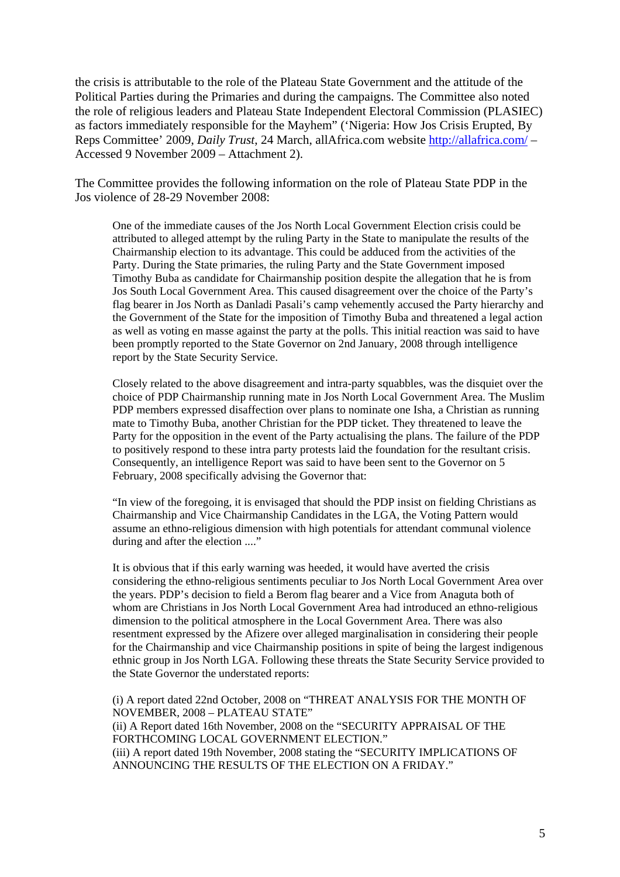the crisis is attributable to the role of the Plateau State Government and the attitude of the Political Parties during the Primaries and during the campaigns. The Committee also noted the role of religious leaders and Plateau State Independent Electoral Commission (PLASIEC) as factors immediately responsible for the Mayhem" ('Nigeria: How Jos Crisis Erupted, By Reps Committee' 2009, *Daily Trust*, 24 March, allAfrica.com website <http://allafrica.com/>– Accessed 9 November 2009 – Attachment 2).

The Committee provides the following information on the role of Plateau State PDP in the Jos violence of 28-29 November 2008:

One of the immediate causes of the Jos North Local Government Election crisis could be attributed to alleged attempt by the ruling Party in the State to manipulate the results of the Chairmanship election to its advantage. This could be adduced from the activities of the Party. During the State primaries, the ruling Party and the State Government imposed Timothy Buba as candidate for Chairmanship position despite the allegation that he is from Jos South Local Government Area. This caused disagreement over the choice of the Party's flag bearer in Jos North as Danladi Pasali's camp vehemently accused the Party hierarchy and the Government of the State for the imposition of Timothy Buba and threatened a legal action as well as voting en masse against the party at the polls. This initial reaction was said to have been promptly reported to the State Governor on 2nd January, 2008 through intelligence report by the State Security Service.

Closely related to the above disagreement and intra-party squabbles, was the disquiet over the choice of PDP Chairmanship running mate in Jos North Local Government Area. The Muslim PDP members expressed disaffection over plans to nominate one Isha, a Christian as running mate to Timothy Buba, another Christian for the PDP ticket. They threatened to leave the Party for the opposition in the event of the Party actualising the plans. The failure of the PDP to positively respond to these intra party protests laid the foundation for the resultant crisis. Consequently, an intelligence Report was said to have been sent to the Governor on 5 February, 2008 specifically advising the Governor that:

"In view of the foregoing, it is envisaged that should the PDP insist on fielding Christians as Chairmanship and Vice Chairmanship Candidates in the LGA, the Voting Pattern would assume an ethno-religious dimension with high potentials for attendant communal violence during and after the election ...."

It is obvious that if this early warning was heeded, it would have averted the crisis considering the ethno-religious sentiments peculiar to Jos North Local Government Area over the years. PDP's decision to field a Berom flag bearer and a Vice from Anaguta both of whom are Christians in Jos North Local Government Area had introduced an ethno-religious dimension to the political atmosphere in the Local Government Area. There was also resentment expressed by the Afizere over alleged marginalisation in considering their people for the Chairmanship and vice Chairmanship positions in spite of being the largest indigenous ethnic group in Jos North LGA. Following these threats the State Security Service provided to the State Governor the understated reports:

(i) A report dated 22nd October, 2008 on "THREAT ANALYSIS FOR THE MONTH OF NOVEMBER, 2008 – PLATEAU STATE" (ii) A Report dated 16th November, 2008 on the "SECURITY APPRAISAL OF THE FORTHCOMING LOCAL GOVERNMENT ELECTION." (iii) A report dated 19th November, 2008 stating the "SECURITY IMPLICATIONS OF ANNOUNCING THE RESULTS OF THE ELECTION ON A FRIDAY."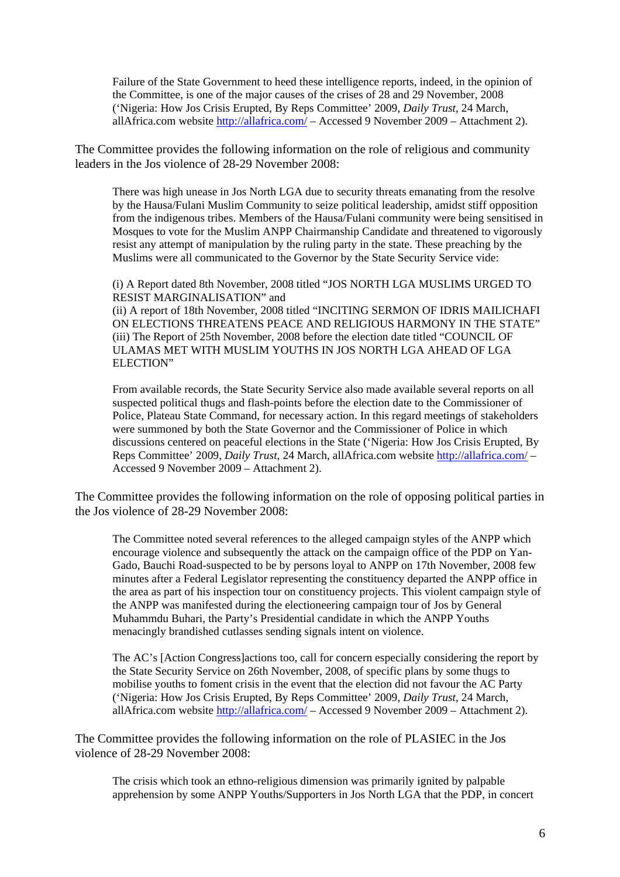Failure of the State Government to heed these intelligence reports, indeed, in the opinion of the Committee, is one of the major causes of the crises of 28 and 29 November, 2008 ('Nigeria: How Jos Crisis Erupted, By Reps Committee' 2009, *Daily Trust*, 24 March, allAfrica.com website <http://allafrica.com/>– Accessed 9 November 2009 – Attachment 2).

The Committee provides the following information on the role of religious and community leaders in the Jos violence of 28-29 November 2008:

There was high unease in Jos North LGA due to security threats emanating from the resolve by the Hausa/Fulani Muslim Community to seize political leadership, amidst stiff opposition from the indigenous tribes. Members of the Hausa/Fulani community were being sensitised in Mosques to vote for the Muslim ANPP Chairmanship Candidate and threatened to vigorously resist any attempt of manipulation by the ruling party in the state. These preaching by the Muslims were all communicated to the Governor by the State Security Service vide:

(i) A Report dated 8th November, 2008 titled "JOS NORTH LGA MUSLIMS URGED TO RESIST MARGINALISATION" and

(ii) A report of 18th November, 2008 titled "INCITING SERMON OF IDRIS MAILICHAFI ON ELECTIONS THREATENS PEACE AND RELIGIOUS HARMONY IN THE STATE" (iii) The Report of 25th November, 2008 before the election date titled "COUNCIL OF ULAMAS MET WITH MUSLIM YOUTHS IN JOS NORTH LGA AHEAD OF LGA ELECTION"

From available records, the State Security Service also made available several reports on all suspected political thugs and flash-points before the election date to the Commissioner of Police, Plateau State Command, for necessary action. In this regard meetings of stakeholders were summoned by both the State Governor and the Commissioner of Police in which discussions centered on peaceful elections in the State ('Nigeria: How Jos Crisis Erupted, By Reps Committee' 2009, *Daily Trust*, 24 March, allAfrica.com website<http://allafrica.com/> – Accessed 9 November 2009 – Attachment 2).

The Committee provides the following information on the role of opposing political parties in the Jos violence of 28-29 November 2008:

The Committee noted several references to the alleged campaign styles of the ANPP which encourage violence and subsequently the attack on the campaign office of the PDP on Yan-Gado, Bauchi Road-suspected to be by persons loyal to ANPP on 17th November, 2008 few minutes after a Federal Legislator representing the constituency departed the ANPP office in the area as part of his inspection tour on constituency projects. This violent campaign style of the ANPP was manifested during the electioneering campaign tour of Jos by General Muhammdu Buhari, the Party's Presidential candidate in which the ANPP Youths menacingly brandished cutlasses sending signals intent on violence.

The AC's [Action Congress]actions too, call for concern especially considering the report by the State Security Service on 26th November, 2008, of specific plans by some thugs to mobilise youths to foment crisis in the event that the election did not favour the AC Party ('Nigeria: How Jos Crisis Erupted, By Reps Committee' 2009, *Daily Trust*, 24 March, allAfrica.com website <http://allafrica.com/>– Accessed 9 November 2009 – Attachment 2).

The Committee provides the following information on the role of PLASIEC in the Jos violence of 28-29 November 2008:

The crisis which took an ethno-religious dimension was primarily ignited by palpable apprehension by some ANPP Youths/Supporters in Jos North LGA that the PDP, in concert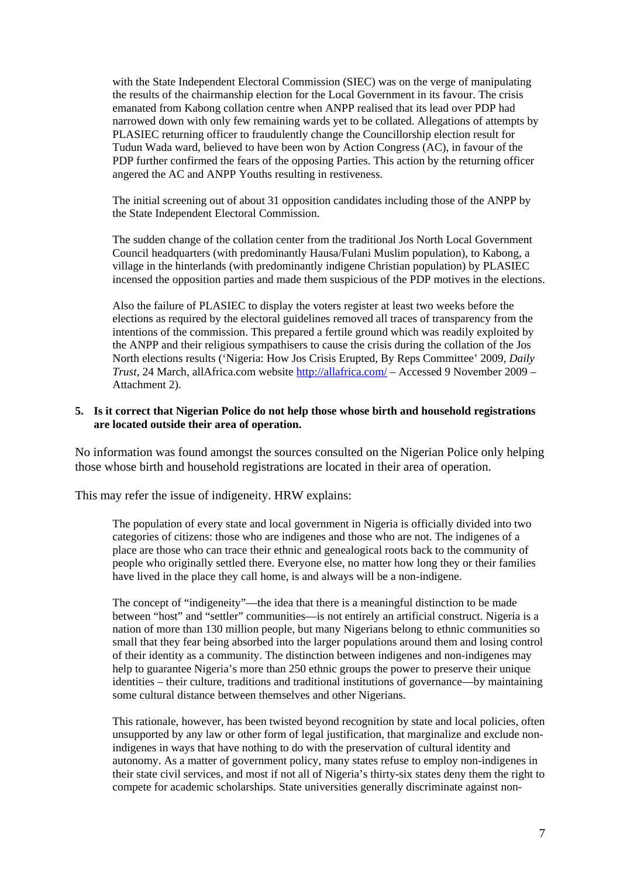with the State Independent Electoral Commission (SIEC) was on the verge of manipulating the results of the chairmanship election for the Local Government in its favour. The crisis emanated from Kabong collation centre when ANPP realised that its lead over PDP had narrowed down with only few remaining wards yet to be collated. Allegations of attempts by PLASIEC returning officer to fraudulently change the Councillorship election result for Tudun Wada ward, believed to have been won by Action Congress (AC), in favour of the PDP further confirmed the fears of the opposing Parties. This action by the returning officer angered the AC and ANPP Youths resulting in restiveness.

The initial screening out of about 31 opposition candidates including those of the ANPP by the State Independent Electoral Commission.

The sudden change of the collation center from the traditional Jos North Local Government Council headquarters (with predominantly Hausa/Fulani Muslim population), to Kabong, a village in the hinterlands (with predominantly indigene Christian population) by PLASIEC incensed the opposition parties and made them suspicious of the PDP motives in the elections.

Also the failure of PLASIEC to display the voters register at least two weeks before the elections as required by the electoral guidelines removed all traces of transparency from the intentions of the commission. This prepared a fertile ground which was readily exploited by the ANPP and their religious sympathisers to cause the crisis during the collation of the Jos North elections results ('Nigeria: How Jos Crisis Erupted, By Reps Committee' 2009, *Daily Trust*, 24 March, allAfrica.com website <http://allafrica.com/>– Accessed 9 November 2009 – Attachment 2).

## **5. Is it correct that Nigerian Police do not help those whose birth and household registrations are located outside their area of operation.**

No information was found amongst the sources consulted on the Nigerian Police only helping those whose birth and household registrations are located in their area of operation.

This may refer the issue of indigeneity. HRW explains:

The population of every state and local government in Nigeria is officially divided into two categories of citizens: those who are indigenes and those who are not. The indigenes of a place are those who can trace their ethnic and genealogical roots back to the community of people who originally settled there. Everyone else, no matter how long they or their families have lived in the place they call home, is and always will be a non-indigene.

The concept of "indigeneity"—the idea that there is a meaningful distinction to be made between "host" and "settler" communities—is not entirely an artificial construct. Nigeria is a nation of more than 130 million people, but many Nigerians belong to ethnic communities so small that they fear being absorbed into the larger populations around them and losing control of their identity as a community. The distinction between indigenes and non-indigenes may help to guarantee Nigeria's more than 250 ethnic groups the power to preserve their unique identities – their culture, traditions and traditional institutions of governance—by maintaining some cultural distance between themselves and other Nigerians.

This rationale, however, has been twisted beyond recognition by state and local policies, often unsupported by any law or other form of legal justification, that marginalize and exclude nonindigenes in ways that have nothing to do with the preservation of cultural identity and autonomy. As a matter of government policy, many states refuse to employ non-indigenes in their state civil services, and most if not all of Nigeria's thirty-six states deny them the right to compete for academic scholarships. State universities generally discriminate against non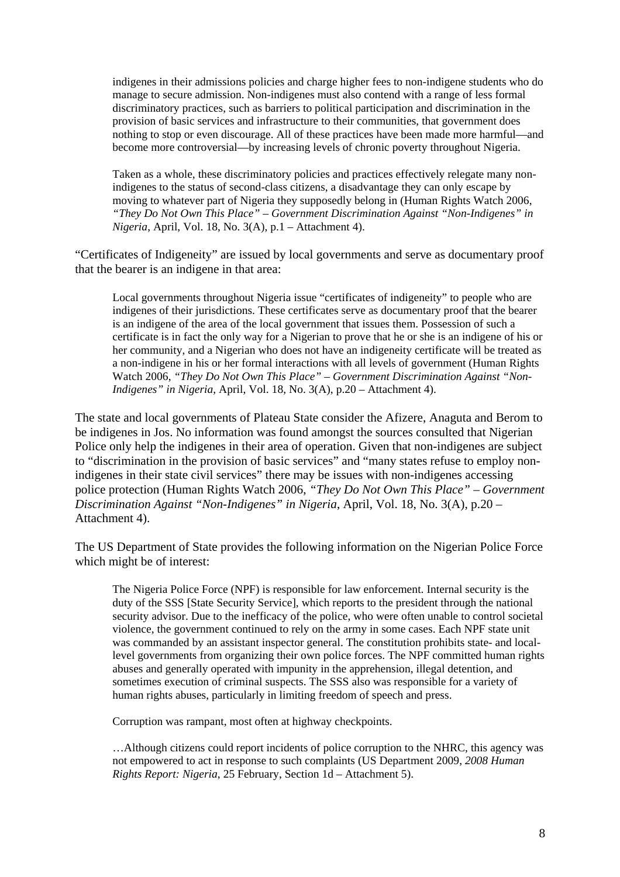indigenes in their admissions policies and charge higher fees to non-indigene students who do manage to secure admission. Non-indigenes must also contend with a range of less formal discriminatory practices, such as barriers to political participation and discrimination in the provision of basic services and infrastructure to their communities, that government does nothing to stop or even discourage. All of these practices have been made more harmful—and become more controversial—by increasing levels of chronic poverty throughout Nigeria.

Taken as a whole, these discriminatory policies and practices effectively relegate many nonindigenes to the status of second-class citizens, a disadvantage they can only escape by moving to whatever part of Nigeria they supposedly belong in (Human Rights Watch 2006, *"They Do Not Own This Place" – Government Discrimination Against "Non-Indigenes" in Nigeria*, April, Vol. 18, No. 3(A), p.1 – Attachment 4).

"Certificates of Indigeneity" are issued by local governments and serve as documentary proof that the bearer is an indigene in that area:

Local governments throughout Nigeria issue "certificates of indigeneity" to people who are indigenes of their jurisdictions. These certificates serve as documentary proof that the bearer is an indigene of the area of the local government that issues them. Possession of such a certificate is in fact the only way for a Nigerian to prove that he or she is an indigene of his or her community, and a Nigerian who does not have an indigeneity certificate will be treated as a non-indigene in his or her formal interactions with all levels of government (Human Rights Watch 2006, *"They Do Not Own This Place" – Government Discrimination Against "Non-Indigenes" in Nigeria*, April, Vol. 18, No. 3(A), p.20 – Attachment 4).

The state and local governments of Plateau State consider the Afizere, Anaguta and Berom to be indigenes in Jos. No information was found amongst the sources consulted that Nigerian Police only help the indigenes in their area of operation. Given that non-indigenes are subject to "discrimination in the provision of basic services" and "many states refuse to employ nonindigenes in their state civil services" there may be issues with non-indigenes accessing police protection (Human Rights Watch 2006, *"They Do Not Own This Place" – Government Discrimination Against "Non-Indigenes" in Nigeria*, April, Vol. 18, No. 3(A), p.20 – Attachment 4).

The US Department of State provides the following information on the Nigerian Police Force which might be of interest:

The Nigeria Police Force (NPF) is responsible for law enforcement. Internal security is the duty of the SSS [State Security Service], which reports to the president through the national security advisor. Due to the inefficacy of the police, who were often unable to control societal violence, the government continued to rely on the army in some cases. Each NPF state unit was commanded by an assistant inspector general. The constitution prohibits state- and locallevel governments from organizing their own police forces. The NPF committed human rights abuses and generally operated with impunity in the apprehension, illegal detention, and sometimes execution of criminal suspects. The SSS also was responsible for a variety of human rights abuses, particularly in limiting freedom of speech and press.

Corruption was rampant, most often at highway checkpoints.

…Although citizens could report incidents of police corruption to the NHRC, this agency was not empowered to act in response to such complaints (US Department 2009, *2008 Human Rights Report: Nigeria*, 25 February, Section 1d – Attachment 5).